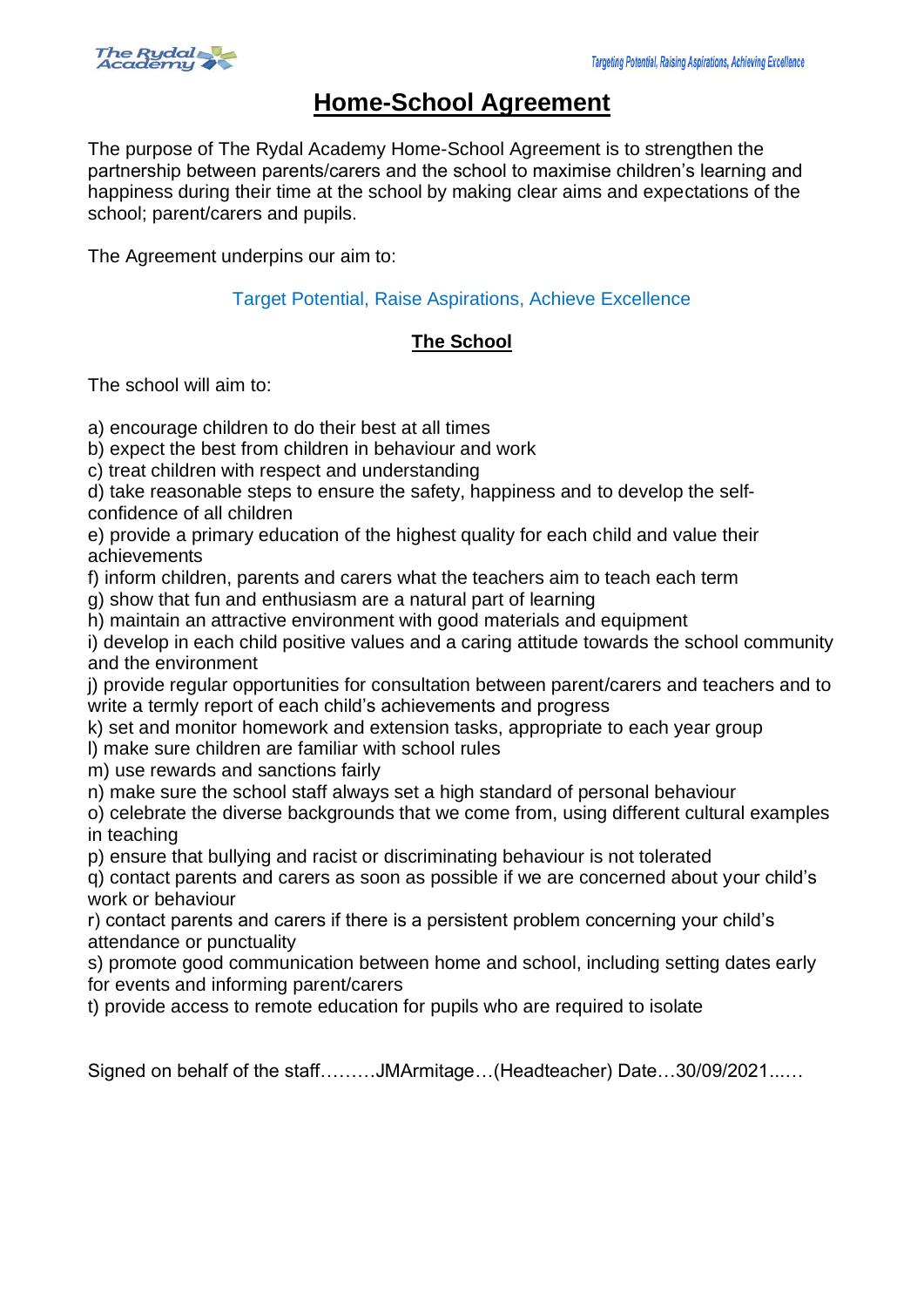

## **Home-School Agreement**

The purpose of The Rydal Academy Home-School Agreement is to strengthen the partnership between parents/carers and the school to maximise children's learning and happiness during their time at the school by making clear aims and expectations of the school; parent/carers and pupils.

The Agreement underpins our aim to:

Target Potential, Raise Aspirations, Achieve Excellence

## **The School**

The school will aim to:

a) encourage children to do their best at all times

b) expect the best from children in behaviour and work

c) treat children with respect and understanding

d) take reasonable steps to ensure the safety, happiness and to develop the selfconfidence of all children

e) provide a primary education of the highest quality for each child and value their achievements

f) inform children, parents and carers what the teachers aim to teach each term

g) show that fun and enthusiasm are a natural part of learning

h) maintain an attractive environment with good materials and equipment

i) develop in each child positive values and a caring attitude towards the school community and the environment

j) provide regular opportunities for consultation between parent/carers and teachers and to write a termly report of each child's achievements and progress

k) set and monitor homework and extension tasks, appropriate to each year group

l) make sure children are familiar with school rules

m) use rewards and sanctions fairly

n) make sure the school staff always set a high standard of personal behaviour

o) celebrate the diverse backgrounds that we come from, using different cultural examples in teaching

p) ensure that bullying and racist or discriminating behaviour is not tolerated

q) contact parents and carers as soon as possible if we are concerned about your child's work or behaviour

r) contact parents and carers if there is a persistent problem concerning your child's attendance or punctuality

s) promote good communication between home and school, including setting dates early for events and informing parent/carers

t) provide access to remote education for pupils who are required to isolate

Signed on behalf of the staff………JMArmitage…(Headteacher) Date…30/09/2021...…